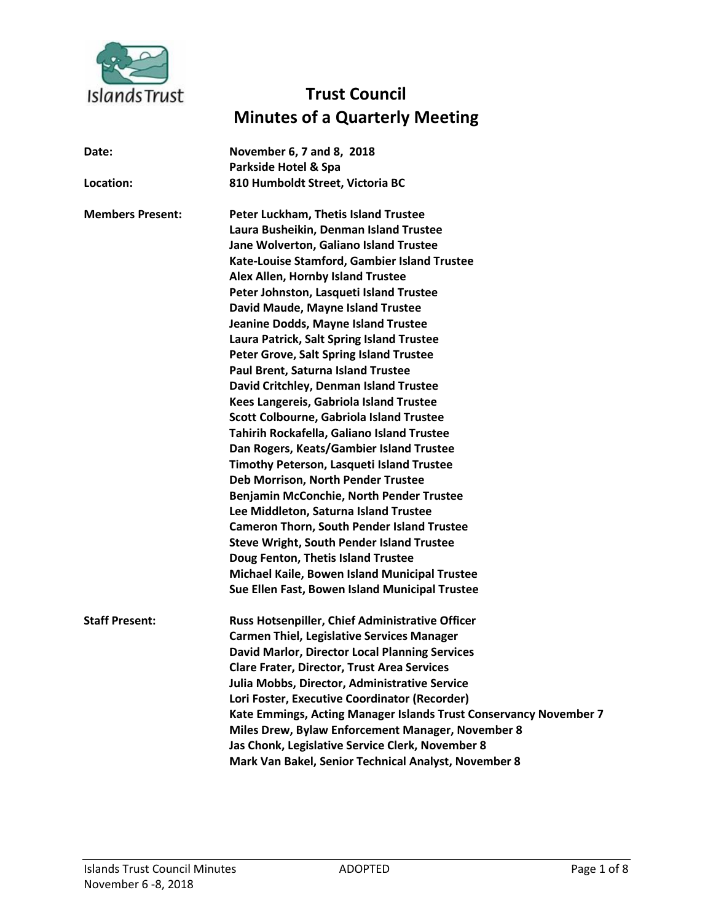

## **Trust Council Minutes of a Quarterly Meeting**

| Date:                   | November 6, 7 and 8, 2018                                         |
|-------------------------|-------------------------------------------------------------------|
| Location:               | Parkside Hotel & Spa<br>810 Humboldt Street, Victoria BC          |
| <b>Members Present:</b> | Peter Luckham, Thetis Island Trustee                              |
|                         | Laura Busheikin, Denman Island Trustee                            |
|                         | Jane Wolverton, Galiano Island Trustee                            |
|                         | Kate-Louise Stamford, Gambier Island Trustee                      |
|                         | Alex Allen, Hornby Island Trustee                                 |
|                         | Peter Johnston, Lasqueti Island Trustee                           |
|                         | David Maude, Mayne Island Trustee                                 |
|                         | Jeanine Dodds, Mayne Island Trustee                               |
|                         | Laura Patrick, Salt Spring Island Trustee                         |
|                         | Peter Grove, Salt Spring Island Trustee                           |
|                         | Paul Brent, Saturna Island Trustee                                |
|                         | David Critchley, Denman Island Trustee                            |
|                         | Kees Langereis, Gabriola Island Trustee                           |
|                         | Scott Colbourne, Gabriola Island Trustee                          |
|                         | Tahirih Rockafella, Galiano Island Trustee                        |
|                         | Dan Rogers, Keats/Gambier Island Trustee                          |
|                         | Timothy Peterson, Lasqueti Island Trustee                         |
|                         | Deb Morrison, North Pender Trustee                                |
|                         | Benjamin McConchie, North Pender Trustee                          |
|                         | Lee Middleton, Saturna Island Trustee                             |
|                         | <b>Cameron Thorn, South Pender Island Trustee</b>                 |
|                         | <b>Steve Wright, South Pender Island Trustee</b>                  |
|                         | Doug Fenton, Thetis Island Trustee                                |
|                         | Michael Kaile, Bowen Island Municipal Trustee                     |
|                         | Sue Ellen Fast, Bowen Island Municipal Trustee                    |
| <b>Staff Present:</b>   | Russ Hotsenpiller, Chief Administrative Officer                   |
|                         | <b>Carmen Thiel, Legislative Services Manager</b>                 |
|                         | <b>David Marlor, Director Local Planning Services</b>             |
|                         | <b>Clare Frater, Director, Trust Area Services</b>                |
|                         | Julia Mobbs, Director, Administrative Service                     |
|                         | Lori Foster, Executive Coordinator (Recorder)                     |
|                         | Kate Emmings, Acting Manager Islands Trust Conservancy November 7 |
|                         | Miles Drew, Bylaw Enforcement Manager, November 8                 |
|                         | Jas Chonk, Legislative Service Clerk, November 8                  |
|                         | Mark Van Bakel, Senior Technical Analyst, November 8              |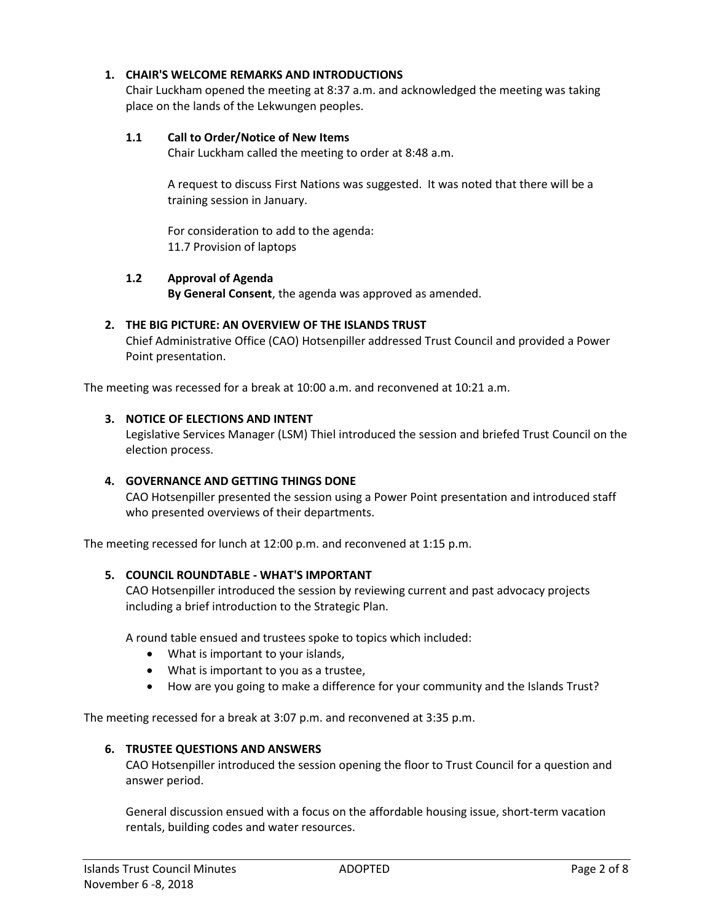#### **1. CHAIR'S WELCOME REMARKS AND INTRODUCTIONS**

Chair Luckham opened the meeting at 8:37 a.m. and acknowledged the meeting was taking place on the lands of the Lekwungen peoples.

#### **1.1 Call to Order/Notice of New Items**

Chair Luckham called the meeting to order at 8:48 a.m.

A request to discuss First Nations was suggested. It was noted that there will be a training session in January.

For consideration to add to the agenda: 11.7 Provision of laptops

#### **1.2 Approval of Agenda**

**By General Consent**, the agenda was approved as amended.

#### **2. THE BIG PICTURE: AN OVERVIEW OF THE ISLANDS TRUST**

Chief Administrative Office (CAO) Hotsenpiller addressed Trust Council and provided a Power Point presentation.

The meeting was recessed for a break at 10:00 a.m. and reconvened at 10:21 a.m.

#### **3. NOTICE OF ELECTIONS AND INTENT**

Legislative Services Manager (LSM) Thiel introduced the session and briefed Trust Council on the election process.

#### **4. GOVERNANCE AND GETTING THINGS DONE**

CAO Hotsenpiller presented the session using a Power Point presentation and introduced staff who presented overviews of their departments.

The meeting recessed for lunch at 12:00 p.m. and reconvened at 1:15 p.m.

#### **5. COUNCIL ROUNDTABLE - WHAT'S IMPORTANT**

CAO Hotsenpiller introduced the session by reviewing current and past advocacy projects including a brief introduction to the Strategic Plan.

A round table ensued and trustees spoke to topics which included:

- What is important to your islands,
- What is important to you as a trustee,
- How are you going to make a difference for your community and the Islands Trust?

The meeting recessed for a break at 3:07 p.m. and reconvened at 3:35 p.m.

#### **6. TRUSTEE QUESTIONS AND ANSWERS**

CAO Hotsenpiller introduced the session opening the floor to Trust Council for a question and answer period.

General discussion ensued with a focus on the affordable housing issue, short-term vacation rentals, building codes and water resources.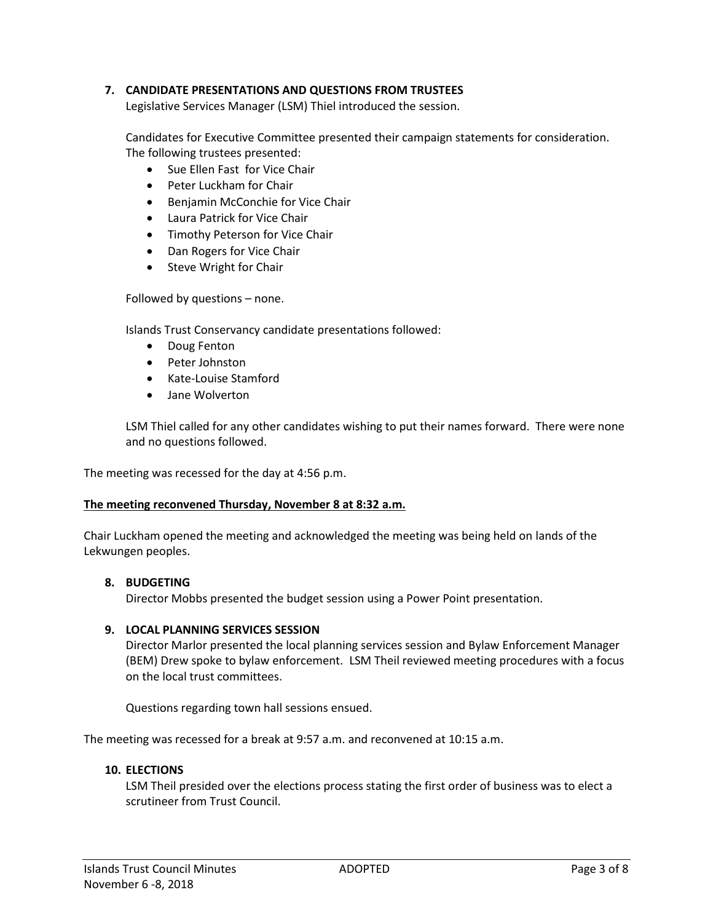#### **7. CANDIDATE PRESENTATIONS AND QUESTIONS FROM TRUSTEES**

Legislative Services Manager (LSM) Thiel introduced the session.

Candidates for Executive Committee presented their campaign statements for consideration. The following trustees presented:

- Sue Ellen Fast for Vice Chair
- Peter Luckham for Chair
- **•** Benjamin McConchie for Vice Chair
- Laura Patrick for Vice Chair
- Timothy Peterson for Vice Chair
- Dan Rogers for Vice Chair
- Steve Wright for Chair

Followed by questions – none.

Islands Trust Conservancy candidate presentations followed:

- Doug Fenton
- Peter Johnston
- Kate-Louise Stamford
- Jane Wolverton

LSM Thiel called for any other candidates wishing to put their names forward. There were none and no questions followed.

The meeting was recessed for the day at 4:56 p.m.

#### **The meeting reconvened Thursday, November 8 at 8:32 a.m.**

Chair Luckham opened the meeting and acknowledged the meeting was being held on lands of the Lekwungen peoples.

#### **8. BUDGETING**

Director Mobbs presented the budget session using a Power Point presentation.

#### **9. LOCAL PLANNING SERVICES SESSION**

Director Marlor presented the local planning services session and Bylaw Enforcement Manager (BEM) Drew spoke to bylaw enforcement. LSM Theil reviewed meeting procedures with a focus on the local trust committees.

Questions regarding town hall sessions ensued.

The meeting was recessed for a break at 9:57 a.m. and reconvened at 10:15 a.m.

#### **10. ELECTIONS**

LSM Theil presided over the elections process stating the first order of business was to elect a scrutineer from Trust Council.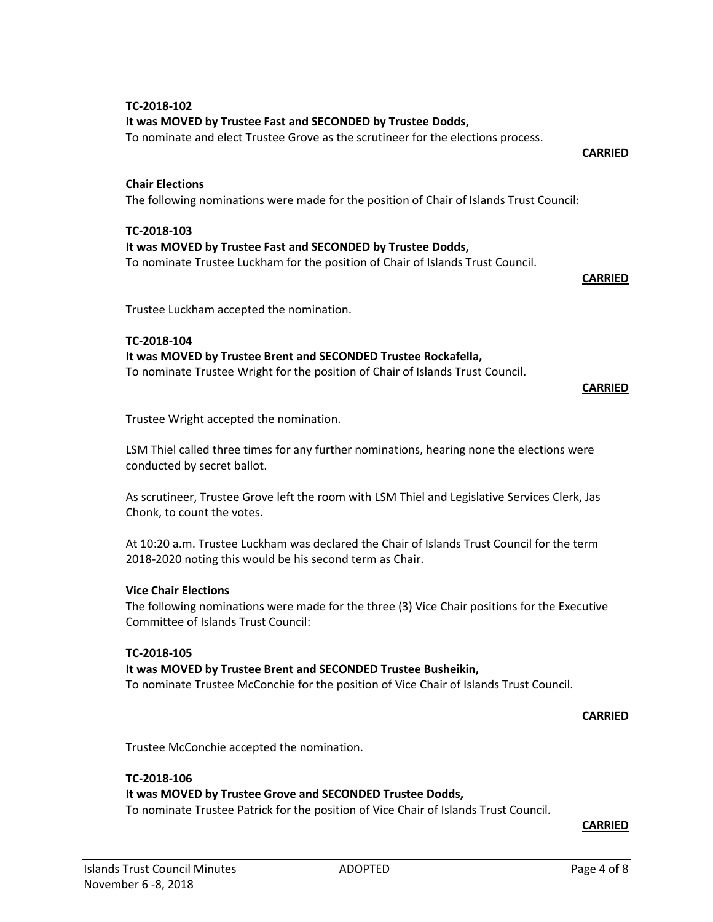# Trustee Luckham accepted the nomination.

#### **TC-2018-104**

**TC-2018-102**

**Chair Elections**

**TC-2018-103**

## **It was MOVED by Trustee Brent and SECONDED Trustee Rockafella,**

**It was MOVED by Trustee Fast and SECONDED by Trustee Dodds,** 

**It was MOVED by Trustee Fast and SECONDED by Trustee Dodds,**

To nominate and elect Trustee Grove as the scrutineer for the elections process.

To nominate Trustee Luckham for the position of Chair of Islands Trust Council.

The following nominations were made for the position of Chair of Islands Trust Council:

To nominate Trustee Wright for the position of Chair of Islands Trust Council.

**CARRIED**

**CARRIED**

**CARRIED**

Trustee Wright accepted the nomination.

LSM Thiel called three times for any further nominations, hearing none the elections were conducted by secret ballot.

As scrutineer, Trustee Grove left the room with LSM Thiel and Legislative Services Clerk, Jas Chonk, to count the votes.

At 10:20 a.m. Trustee Luckham was declared the Chair of Islands Trust Council for the term 2018-2020 noting this would be his second term as Chair.

#### **Vice Chair Elections**

The following nominations were made for the three (3) Vice Chair positions for the Executive Committee of Islands Trust Council:

#### **TC-2018-105**

#### **It was MOVED by Trustee Brent and SECONDED Trustee Busheikin,**

To nominate Trustee McConchie for the position of Vice Chair of Islands Trust Council.

#### **CARRIED**

Trustee McConchie accepted the nomination.

#### **TC-2018-106**

#### **It was MOVED by Trustee Grove and SECONDED Trustee Dodds,**

To nominate Trustee Patrick for the position of Vice Chair of Islands Trust Council.

**CARRIED**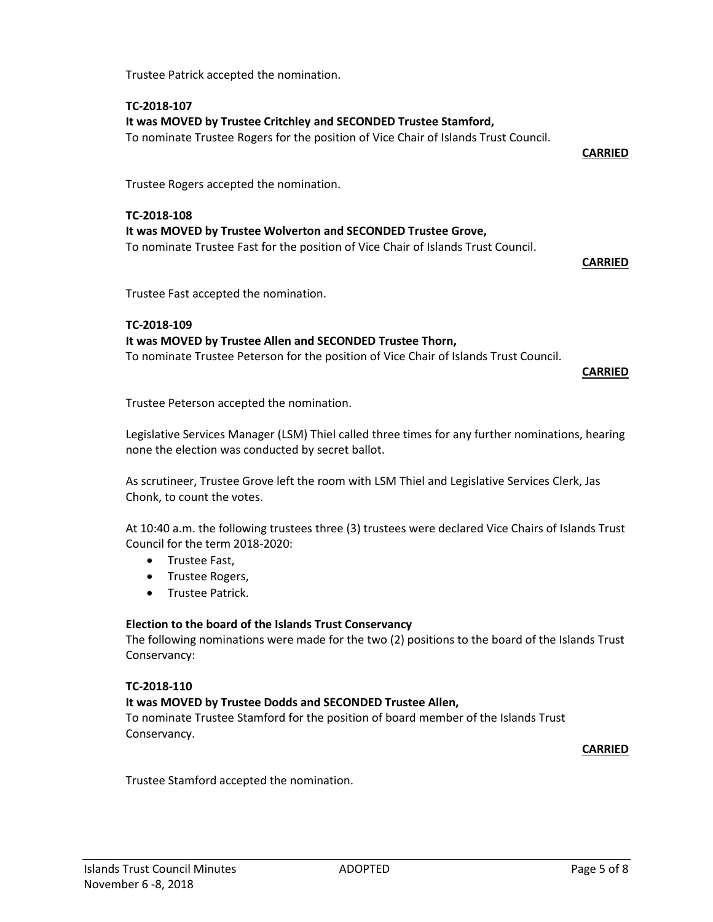Trustee Patrick accepted the nomination.

#### **TC-2018-107**

### **It was MOVED by Trustee Critchley and SECONDED Trustee Stamford,**

To nominate Trustee Rogers for the position of Vice Chair of Islands Trust Council.

**CARRIED**

Trustee Rogers accepted the nomination.

#### **TC-2018-108 It was MOVED by Trustee Wolverton and SECONDED Trustee Grove,** To nominate Trustee Fast for the position of Vice Chair of Islands Trust Council.

**CARRIED**

Trustee Fast accepted the nomination.

#### **TC-2018-109**

#### **It was MOVED by Trustee Allen and SECONDED Trustee Thorn,**

To nominate Trustee Peterson for the position of Vice Chair of Islands Trust Council.

**CARRIED**

Trustee Peterson accepted the nomination.

Legislative Services Manager (LSM) Thiel called three times for any further nominations, hearing none the election was conducted by secret ballot.

As scrutineer, Trustee Grove left the room with LSM Thiel and Legislative Services Clerk, Jas Chonk, to count the votes.

At 10:40 a.m. the following trustees three (3) trustees were declared Vice Chairs of Islands Trust Council for the term 2018-2020:

- Trustee Fast,
- Trustee Rogers,
- Trustee Patrick.

#### **Election to the board of the Islands Trust Conservancy**

The following nominations were made for the two (2) positions to the board of the Islands Trust Conservancy:

#### **TC-2018-110**

#### **It was MOVED by Trustee Dodds and SECONDED Trustee Allen,**

To nominate Trustee Stamford for the position of board member of the Islands Trust Conservancy.

**CARRIED**

Trustee Stamford accepted the nomination.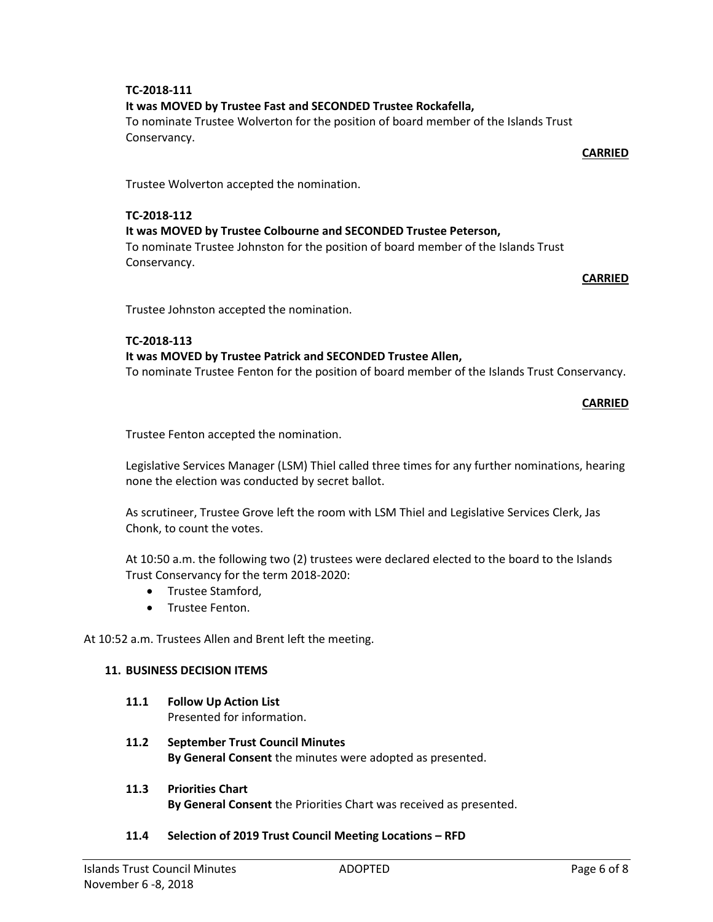#### **TC-2018-111 It was MOVED by Trustee Fast and SECONDED Trustee Rockafella,**

To nominate Trustee Wolverton for the position of board member of the Islands Trust Conservancy.

**CARRIED**

Trustee Wolverton accepted the nomination.

#### **TC-2018-112 It was MOVED by Trustee Colbourne and SECONDED Trustee Peterson,**

To nominate Trustee Johnston for the position of board member of the Islands Trust Conservancy.

**CARRIED**

Trustee Johnston accepted the nomination.

#### **TC-2018-113**

#### **It was MOVED by Trustee Patrick and SECONDED Trustee Allen,**

To nominate Trustee Fenton for the position of board member of the Islands Trust Conservancy.

**CARRIED**

Trustee Fenton accepted the nomination.

Legislative Services Manager (LSM) Thiel called three times for any further nominations, hearing none the election was conducted by secret ballot.

As scrutineer, Trustee Grove left the room with LSM Thiel and Legislative Services Clerk, Jas Chonk, to count the votes.

At 10:50 a.m. the following two (2) trustees were declared elected to the board to the Islands Trust Conservancy for the term 2018-2020:

- Trustee Stamford.
- **•** Trustee Fenton.

At 10:52 a.m. Trustees Allen and Brent left the meeting.

#### **11. BUSINESS DECISION ITEMS**

- **11.1 Follow Up Action List** Presented for information.
- **11.2 September Trust Council Minutes By General Consent** the minutes were adopted as presented.
- **11.3 Priorities Chart By General Consent** the Priorities Chart was received as presented.

#### **11.4 Selection of 2019 Trust Council Meeting Locations – RFD**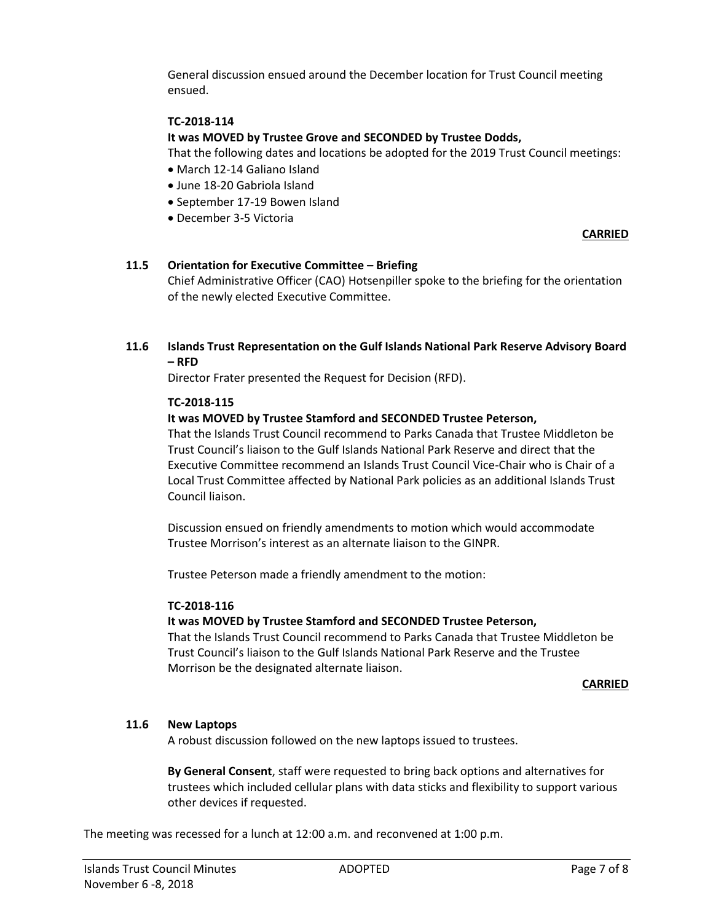General discussion ensued around the December location for Trust Council meeting ensued.

#### **TC-2018-114**

#### **It was MOVED by Trustee Grove and SECONDED by Trustee Dodds,**

That the following dates and locations be adopted for the 2019 Trust Council meetings:

- March 12-14 Galiano Island
- June 18-20 Gabriola Island
- September 17-19 Bowen Island
- December 3-5 Victoria

#### **CARRIED**

#### **11.5 Orientation for Executive Committee – Briefing**

Chief Administrative Officer (CAO) Hotsenpiller spoke to the briefing for the orientation of the newly elected Executive Committee.

#### **11.6 Islands Trust Representation on the Gulf Islands National Park Reserve Advisory Board – RFD**

Director Frater presented the Request for Decision (RFD).

#### **TC-2018-115**

#### **It was MOVED by Trustee Stamford and SECONDED Trustee Peterson,**

That the Islands Trust Council recommend to Parks Canada that Trustee Middleton be Trust Council's liaison to the Gulf Islands National Park Reserve and direct that the Executive Committee recommend an Islands Trust Council Vice-Chair who is Chair of a Local Trust Committee affected by National Park policies as an additional Islands Trust Council liaison.

Discussion ensued on friendly amendments to motion which would accommodate Trustee Morrison's interest as an alternate liaison to the GINPR.

Trustee Peterson made a friendly amendment to the motion:

#### **TC-2018-116**

#### **It was MOVED by Trustee Stamford and SECONDED Trustee Peterson,**

That the Islands Trust Council recommend to Parks Canada that Trustee Middleton be Trust Council's liaison to the Gulf Islands National Park Reserve and the Trustee Morrison be the designated alternate liaison.

#### **CARRIED**

#### **11.6 New Laptops**

A robust discussion followed on the new laptops issued to trustees.

**By General Consent**, staff were requested to bring back options and alternatives for trustees which included cellular plans with data sticks and flexibility to support various other devices if requested.

The meeting was recessed for a lunch at 12:00 a.m. and reconvened at 1:00 p.m.